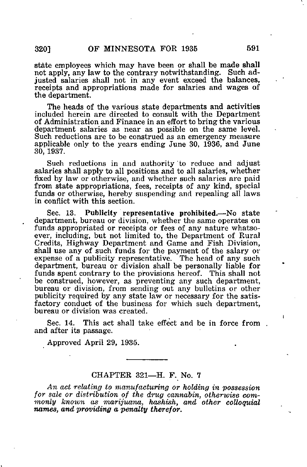state employees which may have been or shall be made shall not apply, any law to the contrary notwithstanding. Such adjusted salaries shall not in any event exceed the balances, receipts and appropriations made for salaries and wages of the department.

The heads of the various state departments and activities included herein are directed to consult with the Department of Administration and Finance in an effort to bring the various department salaries as near as possible on the same level. Such reductions are to be construed as an emergency measure applicable only to the years ending June 30, 1936, and June 30, 1937.

Such reductions in and authority to reduce and adjust salaries shall apply to all positions and to all salaries, whether fixed by law or otherwise, and whether such salaries are paid from state appropriations, fees, receipts of any kind, special funds or otherwise, hereby suspending and repealing all laws in conflict with this section.

Sec. 13. Publicity representative prohibited.—No state department, bureau or division, whether the same operates on funds appropriated or receipts or fees of any nature whatsoever, including, but not limited to, the Department of Rural Credits, Highway Department and Game and Fish Division, shall use any of such funds for the payment of the salary or expense of a publicity representative. The head of any such department, bureau or division shall be personally liable for funds spent contrary to the provisions hereof. This shall not be construed, however, as preventing any such department, bureau or division, from sending out any bulletins or other publicity required by any state law or necessary for the satisfactory conduct of the business for which such department, bureau or division was created.

Sec. 14. This act shall take effect and be in force from. and after its passage.

Approved April 29, 1935.

## CHAPTER 321—H. F. No. 7

An act relating to manufacturing or holding in possession for sale or distribution of the drug cannabin, otherwise commonly known as marijuana, hashish, and other colloquial names, and providing a penalty therefor.

ï